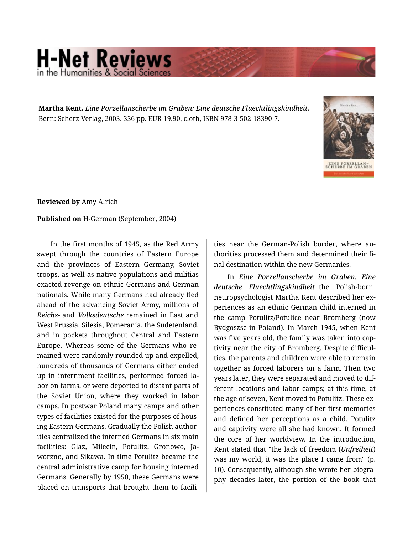## **H-Net Reviews** in the Humanities & Social Scien

**Martha Kent.** *Eine Porzellanscherbe im Graben: Eine deutsche Fluechtlingskindheit.*  Bern: Scherz Verlag, 2003. 336 pp. EUR 19.90, cloth, ISBN 978-3-502-18390-7.



**Reviewed by** Amy Alrich

## **Published on** H-German (September, 2004)

In the first months of 1945, as the Red Army swept through the countries of Eastern Europe and the provinces of Eastern Germany, Soviet troops, as well as native populations and militias exacted revenge on ethnic Germans and German nationals. While many Germans had already fled ahead of the advancing Soviet Army, millions of *Reichs-* and *Volksdeutsche* remained in East and West Prussia, Silesia, Pomerania, the Sudetenland, and in pockets throughout Central and Eastern Europe. Whereas some of the Germans who re‐ mained were randomly rounded up and expelled, hundreds of thousands of Germans either ended up in internment facilities, performed forced la‐ bor on farms, or were deported to distant parts of the Soviet Union, where they worked in labor camps. In postwar Poland many camps and other types of facilities existed for the purposes of hous‐ ing Eastern Germans. Gradually the Polish author‐ ities centralized the interned Germans in six main facilities: Glaz, Milecin, Potulitz, Gronowo, Ja‐ worzno, and Sikawa. In time Potulitz became the central administrative camp for housing interned Germans. Generally by 1950, these Germans were placed on transports that brought them to facili‐

ties near the German-Polish border, where au‐ thorities processed them and determined their fi‐ nal destination within the new Germanies.

In *Eine Porzellanscherbe im Graben: Eine deutsche Fluechtlingskindheit* the Polish-born neuropsychologist Martha Kent described her ex‐ periences as an ethnic German child interned in the camp Potulitz/Potulice near Bromberg (now Bydgoszsc in Poland). In March 1945, when Kent was five years old, the family was taken into cap‐ tivity near the city of Bromberg. Despite difficul‐ ties, the parents and children were able to remain together as forced laborers on a farm. Then two years later, they were separated and moved to dif‐ ferent locations and labor camps; at this time, at the age of seven, Kent moved to Potulitz. These ex‐ periences constituted many of her first memories and defined her perceptions as a child. Potulitz and captivity were all she had known. It formed the core of her worldview. In the introduction, Kent stated that "the lack of freedom (*Unfreiheit*) was my world, it was the place I came from" (p. 10). Consequently, although she wrote her biogra‐ phy decades later, the portion of the book that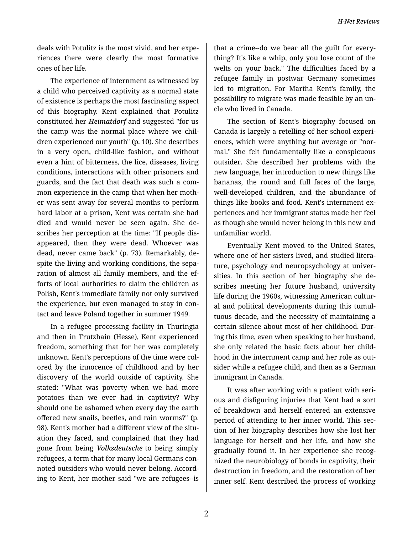*H-Net Reviews*

deals with Potulitz is the most vivid, and her expe‐ riences there were clearly the most formative ones of her life.

The experience of internment as witnessed by a child who perceived captivity as a normal state of existence is perhaps the most fascinating aspect of this biography. Kent explained that Potulitz constituted her *Heimatdorf* and suggested "for us the camp was the normal place where we chil‐ dren experienced our youth" (p. 10). She describes in a very open, child-like fashion, and without even a hint of bitterness, the lice, diseases, living conditions, interactions with other prisoners and guards, and the fact that death was such a com‐ mon experience in the camp that when her moth‐ er was sent away for several months to perform hard labor at a prison, Kent was certain she had died and would never be seen again. She de‐ scribes her perception at the time: "If people dis‐ appeared, then they were dead. Whoever was dead, never came back" (p. 73). Remarkably, de‐ spite the living and working conditions, the sepa‐ ration of almost all family members, and the ef‐ forts of local authorities to claim the children as Polish, Kent's immediate family not only survived the experience, but even managed to stay in con‐ tact and leave Poland together in summer 1949.

In a refugee processing facility in Thuringia and then in Trutzhain (Hesse), Kent experienced freedom, something that for her was completely unknown. Kent's perceptions of the time were col‐ ored by the innocence of childhood and by her discovery of the world outside of captivity. She stated: "What was poverty when we had more potatoes than we ever had in captivity? Why should one be ashamed when every day the earth offered new snails, beetles, and rain worms?" (p. 98). Kent's mother had a different view of the situ‐ ation they faced, and complained that they had gone from being *Volksdeutsche* to being simply refugees, a term that for many local Germans con‐ noted outsiders who would never belong. Accord‐ ing to Kent, her mother said "we are refugees--is

that a crime--do we bear all the guilt for every‐ thing? It's like a whip, only you lose count of the welts on your back." The difficulties faced by a refugee family in postwar Germany sometimes led to migration. For Martha Kent's family, the possibility to migrate was made feasible by an un‐ cle who lived in Canada.

The section of Kent's biography focused on Canada is largely a retelling of her school experi‐ ences, which were anything but average or "nor‐ mal." She felt fundamentally like a conspicuous outsider. She described her problems with the new language, her introduction to new things like bananas, the round and full faces of the large, well-developed children, and the abundance of things like books and food. Kent's internment ex‐ periences and her immigrant status made her feel as though she would never belong in this new and unfamiliar world.

Eventually Kent moved to the United States, where one of her sisters lived, and studied litera‐ ture, psychology and neuropsychology at univer‐ sities. In this section of her biography she de‐ scribes meeting her future husband, university life during the 1960s, witnessing American cultur‐ al and political developments during this tumul‐ tuous decade, and the necessity of maintaining a certain silence about most of her childhood. Dur‐ ing this time, even when speaking to her husband, she only related the basic facts about her child‐ hood in the internment camp and her role as out‐ sider while a refugee child, and then as a German immigrant in Canada.

It was after working with a patient with seri‐ ous and disfiguring injuries that Kent had a sort of breakdown and herself entered an extensive period of attending to her inner world. This sec‐ tion of her biography describes how she lost her language for herself and her life, and how she gradually found it. In her experience she recog‐ nized the neurobiology of bonds in captivity, their destruction in freedom, and the restoration of her inner self. Kent described the process of working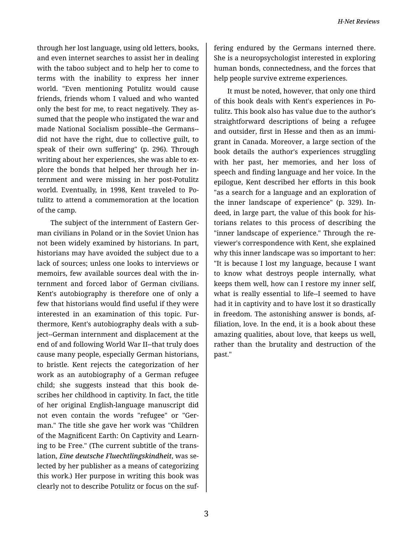through her lost language, using old letters, books, and even internet searches to assist her in dealing with the taboo subject and to help her to come to terms with the inability to express her inner world. "Even mentioning Potulitz would cause friends, friends whom I valued and who wanted only the best for me, to react negatively. They as‐ sumed that the people who instigated the war and made National Socialism possible--the Germans- did not have the right, due to collective guilt, to speak of their own suffering" (p. 296). Through writing about her experiences, she was able to explore the bonds that helped her through her in‐ ternment and were missing in her post-Potulitz world. Eventually, in 1998, Kent traveled to Po‐ tulitz to attend a commemoration at the location of the camp.

The subject of the internment of Eastern Ger‐ man civilians in Poland or in the Soviet Union has not been widely examined by historians. In part, historians may have avoided the subject due to a lack of sources; unless one looks to interviews or memoirs, few available sources deal with the in‐ ternment and forced labor of German civilians. Kent's autobiography is therefore one of only a few that historians would find useful if they were interested in an examination of this topic. Fur‐ thermore, Kent's autobiography deals with a sub‐ ject--German internment and displacement at the end of and following World War II--that truly does cause many people, especially German historians, to bristle. Kent rejects the categorization of her work as an autobiography of a German refugee child; she suggests instead that this book de‐ scribes her childhood in captivity. In fact, the title of her original English-language manuscript did not even contain the words "refugee" or "Ger‐ man." The title she gave her work was "Children of the Magnificent Earth: On Captivity and Learn‐ ing to be Free." (The current subtitle of the trans‐ lation, *Eine deutsche Fluechtlingskindheit*, was se‐ lected by her publisher as a means of categorizing this work.) Her purpose in writing this book was clearly not to describe Potulitz or focus on the suf‐

fering endured by the Germans interned there. She is a neuropsychologist interested in exploring human bonds, connectedness, and the forces that help people survive extreme experiences.

It must be noted, however, that only one third of this book deals with Kent's experiences in Po‐ tulitz. This book also has value due to the author's straightforward descriptions of being a refugee and outsider, first in Hesse and then as an immi‐ grant in Canada. Moreover, a large section of the book details the author's experiences struggling with her past, her memories, and her loss of speech and finding language and her voice. In the epilogue, Kent described her efforts in this book "as a search for a language and an exploration of the inner landscape of experience" (p. 329). In‐ deed, in large part, the value of this book for his‐ torians relates to this process of describing the "inner landscape of experience." Through the re‐ viewer's correspondence with Kent, she explained why this inner landscape was so important to her: "It is because I lost my language, because I want to know what destroys people internally, what keeps them well, how can I restore my inner self, what is really essential to life--I seemed to have had it in captivity and to have lost it so drastically in freedom. The astonishing answer is bonds, af‐ filiation, love. In the end, it is a book about these amazing qualities, about love, that keeps us well, rather than the brutality and destruction of the past."